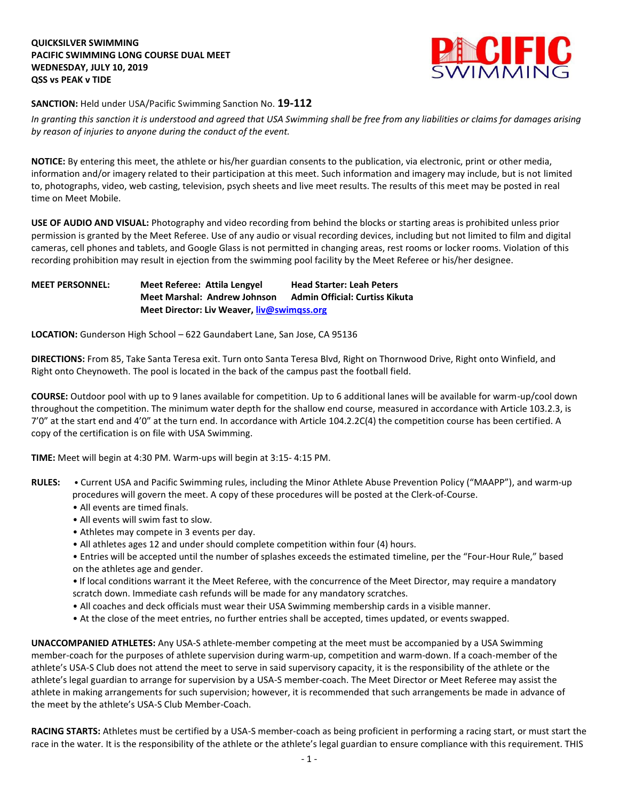## **QUICKSILVER SWIMMING PACIFIC SWIMMING LONG COURSE DUAL MEET WEDNESDAY, JULY 10, 2019 QSS vs PEAK v TIDE**



**SANCTION:** Held under USA/Pacific Swimming Sanction No. **19-112**

*In granting this sanction it is understood and agreed that USA Swimming shall be free from any liabilities or claims for damages arising by reason of injuries to anyone during the conduct of the event.* 

**NOTICE:** By entering this meet, the athlete or his/her guardian consents to the publication, via electronic, print or other media, information and/or imagery related to their participation at this meet. Such information and imagery may include, but is not limited to, photographs, video, web casting, television, psych sheets and live meet results. The results of this meet may be posted in real time on Meet Mobile.

**USE OF AUDIO AND VISUAL:** Photography and video recording from behind the blocks or starting areas is prohibited unless prior permission is granted by the Meet Referee. Use of any audio or visual recording devices, including but not limited to film and digital cameras, cell phones and tablets, and Google Glass is not permitted in changing areas, rest rooms or locker rooms. Violation of this recording prohibition may result in ejection from the swimming pool facility by the Meet Referee or his/her designee.

## **MEET PERSONNEL: Meet Referee: Attila Lengyel Head Starter: Leah Peters Meet Marshal: Andrew Johnson Admin Official: Curtiss Kikuta Meet Director: Liv Weaver, [liv@swimqss.org](mailto:liv@swimqss.org)**

**LOCATION:** Gunderson High School – 622 Gaundabert Lane, San Jose, CA 95136

**DIRECTIONS:** From 85, Take Santa Teresa exit. Turn onto Santa Teresa Blvd, Right on Thornwood Drive, Right onto Winfield, and Right onto Cheynoweth. The pool is located in the back of the campus past the football field.

**COURSE:** Outdoor pool with up to 9 lanes available for competition. Up to 6 additional lanes will be available for warm-up/cool down throughout the competition. The minimum water depth for the shallow end course, measured in accordance with Article 103.2.3, is 7'0" at the start end and 4'0" at the turn end. In accordance with Article 104.2.2C(4) the competition course has been certified. A copy of the certification is on file with USA Swimming.

**TIME:** Meet will begin at 4:30 PM. Warm-ups will begin at 3:15- 4:15 PM.

- **RULES:**  Current USA and Pacific Swimming rules, including the Minor Athlete Abuse Prevention Policy ("MAAPP"), and warm-up procedures will govern the meet. A copy of these procedures will be posted at the Clerk-of-Course.
	- All events are timed finals.
	- All events will swim fast to slow.
	- Athletes may compete in 3 events per day.
	- All athletes ages 12 and under should complete competition within four (4) hours.
	- Entries will be accepted until the number of splashes exceeds the estimated timeline, per the "Four-Hour Rule," based on the athletes age and gender.
	- If local conditions warrant it the Meet Referee, with the concurrence of the Meet Director, may require a mandatory scratch down. Immediate cash refunds will be made for any mandatory scratches.
	- All coaches and deck officials must wear their USA Swimming membership cards in a visible manner.
	- At the close of the meet entries, no further entries shall be accepted, times updated, or events swapped.

**UNACCOMPANIED ATHLETES:** Any USA-S athlete-member competing at the meet must be accompanied by a USA Swimming member-coach for the purposes of athlete supervision during warm-up, competition and warm-down. If a coach-member of the athlete's USA-S Club does not attend the meet to serve in said supervisory capacity, it is the responsibility of the athlete or the athlete's legal guardian to arrange for supervision by a USA-S member-coach. The Meet Director or Meet Referee may assist the athlete in making arrangements for such supervision; however, it is recommended that such arrangements be made in advance of the meet by the athlete's USA-S Club Member-Coach.

**RACING STARTS:** Athletes must be certified by a USA-S member-coach as being proficient in performing a racing start, or must start the race in the water. It is the responsibility of the athlete or the athlete's legal guardian to ensure compliance with this requirement. THIS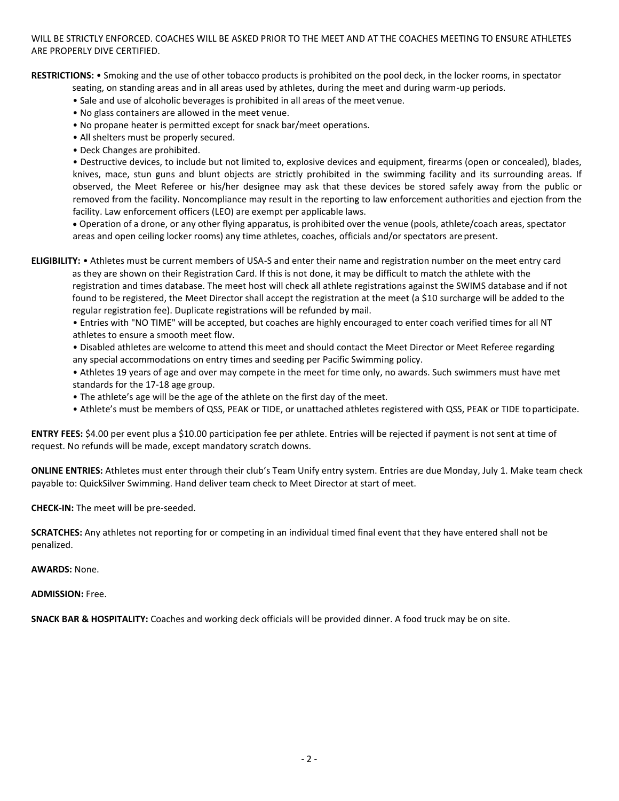WILL BE STRICTLY ENFORCED. COACHES WILL BE ASKED PRIOR TO THE MEET AND AT THE COACHES MEETING TO ENSURE ATHLETES ARE PROPERLY DIVE CERTIFIED.

**RESTRICTIONS:** • Smoking and the use of other tobacco products is prohibited on the pool deck, in the locker rooms, in spectator

seating, on standing areas and in all areas used by athletes, during the meet and during warm-up periods.

- Sale and use of alcoholic beverages is prohibited in all areas of the meet venue.
- No glass containers are allowed in the meet venue.
- No propane heater is permitted except for snack bar/meet operations.
- All shelters must be properly secured.
- Deck Changes are prohibited.

• Destructive devices, to include but not limited to, explosive devices and equipment, firearms (open or concealed), blades, knives, mace, stun guns and blunt objects are strictly prohibited in the swimming facility and its surrounding areas. If observed, the Meet Referee or his/her designee may ask that these devices be stored safely away from the public or removed from the facility. Noncompliance may result in the reporting to law enforcement authorities and ejection from the facility. Law enforcement officers (LEO) are exempt per applicable laws.

 Operation of a drone, or any other flying apparatus, is prohibited over the venue (pools, athlete/coach areas, spectator areas and open ceiling locker rooms) any time athletes, coaches, officials and/or spectators arepresent.

**ELIGIBILITY:** • Athletes must be current members of USA-S and enter their name and registration number on the meet entry card

 as they are shown on their Registration Card. If this is not done, it may be difficult to match the athlete with the registration and times database. The meet host will check all athlete registrations against the SWIMS database and if not found to be registered, the Meet Director shall accept the registration at the meet (a \$10 surcharge will be added to the regular registration fee). Duplicate registrations will be refunded by mail.

• Entries with "NO TIME" will be accepted, but coaches are highly encouraged to enter coach verified times for all NT athletes to ensure a smooth meet flow.

• Disabled athletes are welcome to attend this meet and should contact the Meet Director or Meet Referee regarding any special accommodations on entry times and seeding per Pacific Swimming policy.

• Athletes 19 years of age and over may compete in the meet for time only, no awards. Such swimmers must have met standards for the 17-18 age group.

- The athlete's age will be the age of the athlete on the first day of the meet.
- Athlete's must be members of QSS, PEAK or TIDE, or unattached athletes registered with QSS, PEAK or TIDE toparticipate.

**ENTRY FEES:** \$4.00 per event plus a \$10.00 participation fee per athlete. Entries will be rejected if payment is not sent at time of request. No refunds will be made, except mandatory scratch downs.

**ONLINE ENTRIES:** Athletes must enter through their club's Team Unify entry system. Entries are due Monday, July 1. Make team check payable to: QuickSilver Swimming. Hand deliver team check to Meet Director at start of meet.

**CHECK-IN:** The meet will be pre-seeded.

**SCRATCHES:** Any athletes not reporting for or competing in an individual timed final event that they have entered shall not be penalized.

**AWARDS:** None.

**ADMISSION:** Free.

**SNACK BAR & HOSPITALITY:** Coaches and working deck officials will be provided dinner. A food truck may be on site.